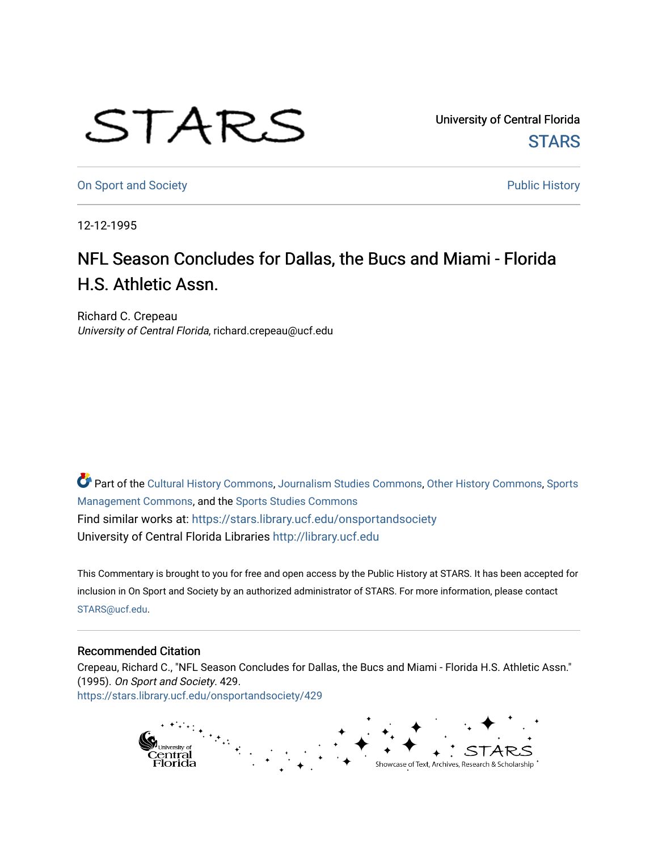## STARS

University of Central Florida **STARS** 

[On Sport and Society](https://stars.library.ucf.edu/onsportandsociety) **Public History** Public History

12-12-1995

## NFL Season Concludes for Dallas, the Bucs and Miami - Florida H.S. Athletic Assn.

Richard C. Crepeau University of Central Florida, richard.crepeau@ucf.edu

Part of the [Cultural History Commons](http://network.bepress.com/hgg/discipline/496?utm_source=stars.library.ucf.edu%2Fonsportandsociety%2F429&utm_medium=PDF&utm_campaign=PDFCoverPages), [Journalism Studies Commons,](http://network.bepress.com/hgg/discipline/333?utm_source=stars.library.ucf.edu%2Fonsportandsociety%2F429&utm_medium=PDF&utm_campaign=PDFCoverPages) [Other History Commons,](http://network.bepress.com/hgg/discipline/508?utm_source=stars.library.ucf.edu%2Fonsportandsociety%2F429&utm_medium=PDF&utm_campaign=PDFCoverPages) [Sports](http://network.bepress.com/hgg/discipline/1193?utm_source=stars.library.ucf.edu%2Fonsportandsociety%2F429&utm_medium=PDF&utm_campaign=PDFCoverPages) [Management Commons](http://network.bepress.com/hgg/discipline/1193?utm_source=stars.library.ucf.edu%2Fonsportandsociety%2F429&utm_medium=PDF&utm_campaign=PDFCoverPages), and the [Sports Studies Commons](http://network.bepress.com/hgg/discipline/1198?utm_source=stars.library.ucf.edu%2Fonsportandsociety%2F429&utm_medium=PDF&utm_campaign=PDFCoverPages) Find similar works at: <https://stars.library.ucf.edu/onsportandsociety> University of Central Florida Libraries [http://library.ucf.edu](http://library.ucf.edu/) 

This Commentary is brought to you for free and open access by the Public History at STARS. It has been accepted for inclusion in On Sport and Society by an authorized administrator of STARS. For more information, please contact [STARS@ucf.edu](mailto:STARS@ucf.edu).

## Recommended Citation

Crepeau, Richard C., "NFL Season Concludes for Dallas, the Bucs and Miami - Florida H.S. Athletic Assn." (1995). On Sport and Society. 429. [https://stars.library.ucf.edu/onsportandsociety/429](https://stars.library.ucf.edu/onsportandsociety/429?utm_source=stars.library.ucf.edu%2Fonsportandsociety%2F429&utm_medium=PDF&utm_campaign=PDFCoverPages)

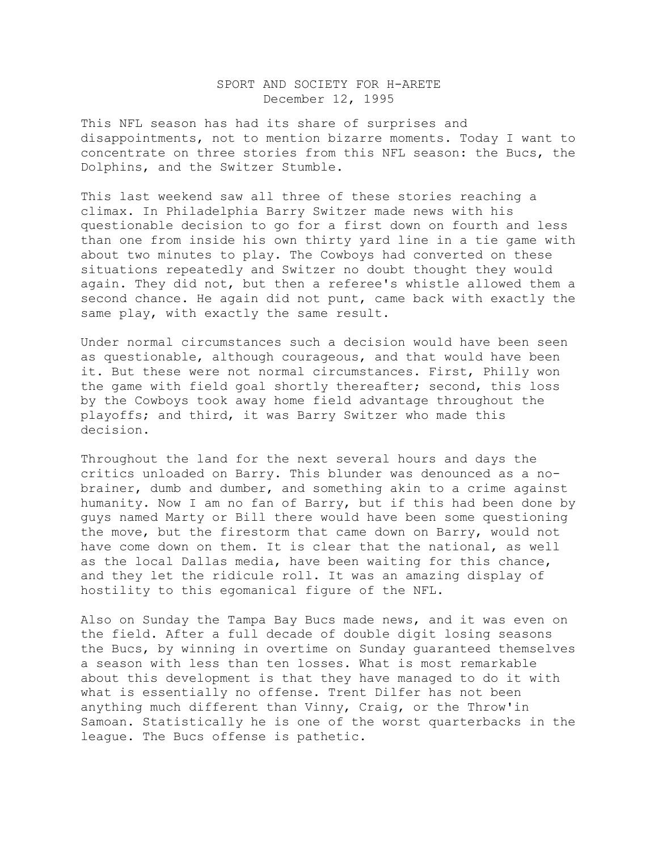## SPORT AND SOCIETY FOR H-ARETE December 12, 1995

This NFL season has had its share of surprises and disappointments, not to mention bizarre moments. Today I want to concentrate on three stories from this NFL season: the Bucs, the Dolphins, and the Switzer Stumble.

This last weekend saw all three of these stories reaching a climax. In Philadelphia Barry Switzer made news with his questionable decision to go for a first down on fourth and less than one from inside his own thirty yard line in a tie game with about two minutes to play. The Cowboys had converted on these situations repeatedly and Switzer no doubt thought they would again. They did not, but then a referee's whistle allowed them a second chance. He again did not punt, came back with exactly the same play, with exactly the same result.

Under normal circumstances such a decision would have been seen as questionable, although courageous, and that would have been it. But these were not normal circumstances. First, Philly won the game with field goal shortly thereafter; second, this loss by the Cowboys took away home field advantage throughout the playoffs; and third, it was Barry Switzer who made this decision.

Throughout the land for the next several hours and days the critics unloaded on Barry. This blunder was denounced as a nobrainer, dumb and dumber, and something akin to a crime against humanity. Now I am no fan of Barry, but if this had been done by guys named Marty or Bill there would have been some questioning the move, but the firestorm that came down on Barry, would not have come down on them. It is clear that the national, as well as the local Dallas media, have been waiting for this chance, and they let the ridicule roll. It was an amazing display of hostility to this egomanical figure of the NFL.

Also on Sunday the Tampa Bay Bucs made news, and it was even on the field. After a full decade of double digit losing seasons the Bucs, by winning in overtime on Sunday guaranteed themselves a season with less than ten losses. What is most remarkable about this development is that they have managed to do it with what is essentially no offense. Trent Dilfer has not been anything much different than Vinny, Craig, or the Throw'in Samoan. Statistically he is one of the worst quarterbacks in the league. The Bucs offense is pathetic.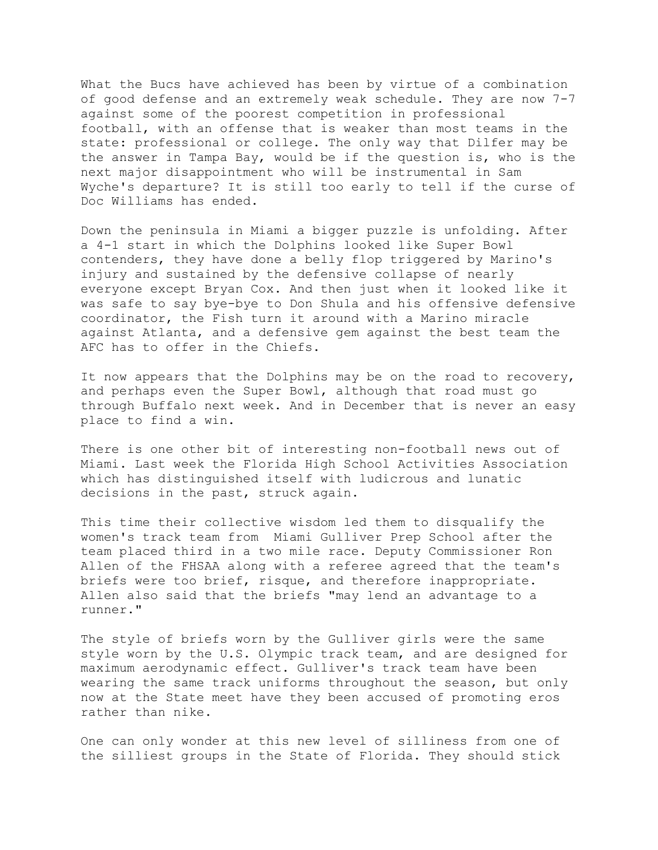What the Bucs have achieved has been by virtue of a combination of good defense and an extremely weak schedule. They are now 7-7 against some of the poorest competition in professional football, with an offense that is weaker than most teams in the state: professional or college. The only way that Dilfer may be the answer in Tampa Bay, would be if the question is, who is the next major disappointment who will be instrumental in Sam Wyche's departure? It is still too early to tell if the curse of Doc Williams has ended.

Down the peninsula in Miami a bigger puzzle is unfolding. After a 4-1 start in which the Dolphins looked like Super Bowl contenders, they have done a belly flop triggered by Marino's injury and sustained by the defensive collapse of nearly everyone except Bryan Cox. And then just when it looked like it was safe to say bye-bye to Don Shula and his offensive defensive coordinator, the Fish turn it around with a Marino miracle against Atlanta, and a defensive gem against the best team the AFC has to offer in the Chiefs.

It now appears that the Dolphins may be on the road to recovery, and perhaps even the Super Bowl, although that road must go through Buffalo next week. And in December that is never an easy place to find a win.

There is one other bit of interesting non-football news out of Miami. Last week the Florida High School Activities Association which has distinguished itself with ludicrous and lunatic decisions in the past, struck again.

This time their collective wisdom led them to disqualify the women's track team from Miami Gulliver Prep School after the team placed third in a two mile race. Deputy Commissioner Ron Allen of the FHSAA along with a referee agreed that the team's briefs were too brief, risque, and therefore inappropriate. Allen also said that the briefs "may lend an advantage to a runner."

The style of briefs worn by the Gulliver girls were the same style worn by the U.S. Olympic track team, and are designed for maximum aerodynamic effect. Gulliver's track team have been wearing the same track uniforms throughout the season, but only now at the State meet have they been accused of promoting eros rather than nike.

One can only wonder at this new level of silliness from one of the silliest groups in the State of Florida. They should stick